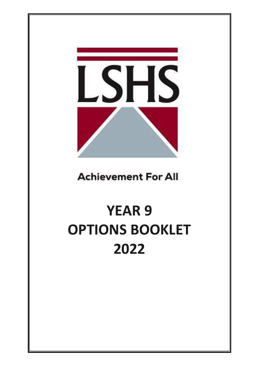**SHS** 

**Achievement For All** 

# **YEAR 9 OPTIONS BOOKLET 2022**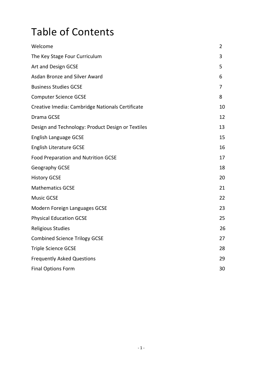# Table of Contents

| Welcome                                           | 2  |
|---------------------------------------------------|----|
| The Key Stage Four Curriculum                     | 3  |
| Art and Design GCSE                               | 5  |
| <b>Asdan Bronze and Silver Award</b>              | 6  |
| <b>Business Studies GCSE</b>                      | 7  |
| <b>Computer Science GCSE</b>                      | 8  |
| Creative Imedia: Cambridge Nationals Certificate  | 10 |
| Drama GCSE                                        | 12 |
| Design and Technology: Product Design or Textiles | 13 |
| <b>English Language GCSE</b>                      | 15 |
| <b>English Literature GCSE</b>                    | 16 |
| <b>Food Preparation and Nutrition GCSE</b>        | 17 |
| Geography GCSE                                    | 18 |
| <b>History GCSE</b>                               | 20 |
| <b>Mathematics GCSE</b>                           | 21 |
| <b>Music GCSE</b>                                 | 22 |
| Modern Foreign Languages GCSE                     | 23 |
| <b>Physical Education GCSE</b>                    | 25 |
| <b>Religious Studies</b>                          | 26 |
| <b>Combined Science Trilogy GCSE</b>              | 27 |
| <b>Triple Science GCSE</b>                        | 28 |
| <b>Frequently Asked Questions</b>                 | 29 |
| <b>Final Options Form</b>                         | 30 |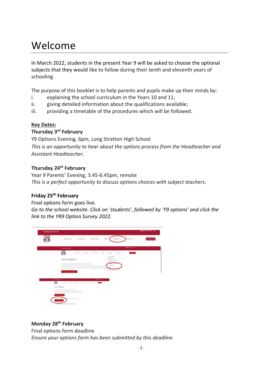# Welcome

In March 2022, students in the present Year 9 will be asked to choose the optional subjects that they would like to follow during their tenth and eleventh years of schooling.

The purpose of this booklet is to help parents and pupils make up their minds by:

- i. explaining the school curriculum in the Years 10 and 11;
- ii. giving detailed information about the qualifications available;
- iii. providing a timetable of the procedures which will be followed.

# **Key Dates:**

# **Thursday 3rd February**

Y9 Options Evening, 6pm, Long Stratton High School *This is an opportunity to hear about the options process from the Headteacher and Assistant Headteacher.*

# **Thursday 24th February**

Year 9 Parents' Evening, 3.45-6.45pm, remote *This is a perfect opportunity to discuss options choices with subject teachers.*

# **Friday 25th February**

Final options form goes live.

*Go to the school website. Click on 'students', followed by 'Y9 options' and click the link to the YR9 Option Survey 2022.*



# **Monday 28th February**

Final options form deadline

*Ensure your options form has been submitted by this deadline.*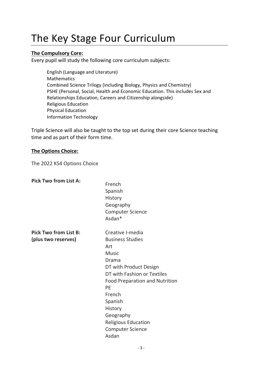# The Key Stage Four Curriculum

# **The Compulsory Core:**

Every pupil will study the following core curriculum subjects:

English (Language and Literature) Mathematics Combined Science Trilogy (including Biology, Physics and Chemistry) PSHE (Personal, Social, Health and Economic Education. This includes Sex and Relationships Education, Careers and Citizenship alongside) Religious Education Physical Education Information Technology

Triple Science will also be taught to the top set during their core Science teaching time and as part of their form time.

### **The Options Choice:**

The 2022 KS4 Options Choice

| <b>Pick Two from List A:</b> | French<br>Spanish<br>History<br>Geography<br><b>Computer Science</b><br>Asdan* |
|------------------------------|--------------------------------------------------------------------------------|
| <b>Pick Two from List B:</b> | Creative I-media                                                               |
| (plus two reserves)          | <b>Business Studies</b>                                                        |
|                              | Art                                                                            |
|                              | <b>Music</b>                                                                   |
|                              | Drama                                                                          |
|                              | DT with Product Design                                                         |
|                              | DT with Fashion or Textiles                                                    |
|                              | <b>Food Preparation and Nutrition</b>                                          |
|                              | PE                                                                             |
|                              | French                                                                         |
|                              | Spanish                                                                        |
|                              | History                                                                        |
|                              | Geography                                                                      |
|                              | <b>Religious Education</b>                                                     |
|                              | <b>Computer Science</b>                                                        |
|                              | Asdan                                                                          |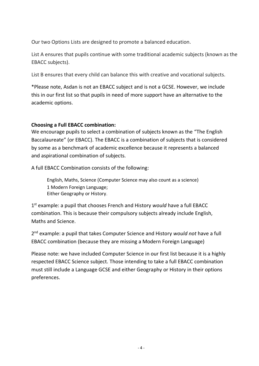Our two Options Lists are designed to promote a balanced education.

List A ensures that pupils continue with some traditional academic subjects (known as the EBACC subjects).

List B ensures that every child can balance this with creative and vocational subjects.

\*Please note, Asdan is not an EBACC subject and is not a GCSE. However, we include this in our first list so that pupils in need of more support have an alternative to the academic options.

# **Choosing a Full EBACC combination:**

We encourage pupils to select a combination of subjects known as the "The English Baccalaureate" (or EBACC). The EBACC is a combination of subjects that is considered by some as a benchmark of academic excellence because it represents a balanced and aspirational combination of subjects.

A full EBACC Combination consists of the following:

English, Maths, Science (Computer Science may also count as a science) 1 Modern Foreign Language; Either Geography or History.

1 st example: a pupil that chooses French and History *would* have a full EBACC combination. This is because their compulsory subjects already include English, Maths and Science.

2 nd example: a pupil that takes Computer Science and History *would not* have a full EBACC combination (because they are missing a Modern Foreign Language)

Please note: we have included Computer Science in our first list because it is a highly respected EBACC Science subject. Those intending to take a full EBACC combination must still include a Language GCSE and either Geography or History in their options preferences.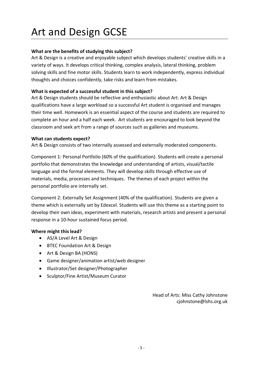# Art and Design GCSE

### **What are the benefits of studying this subject?**

Art & Design is a creative and enjoyable subject which develops students' creative skills in a variety of ways. It develops critical thinking, complex analysis, lateral thinking, problem solving skills and fine motor skills. Students learn to work independently, express individual thoughts and choices confidently, take risks and learn from mistakes.

#### **What is expected of a successful student in this subject?**

Art & Design students should be reflective and enthusiastic about Art. Art & Design qualifications have a large workload so a successful Art student is organised and manages their time well. Homework is an essential aspect of the course and students are required to complete an hour and a half each week. Art students are encouraged to look beyond the classroom and seek art from a range of sources such as galleries and museums.

#### **What can students expect?**

Art & Design consists of two internally assessed and externally moderated components.

Component 1: Personal Portfolio (60% of the qualification). Students will create a personal portfolio that demonstrates the knowledge and understanding of artists, visual/tactile language and the formal elements. They will develop skills through effective use of materials, media, processes and techniques. The themes of each project within the personal portfolio are internally set.

Component 2: Externally Set Assignment (40% of the qualification). Students are given a theme which is externally set by Edexcel. Students will use this theme as a starting point to develop their own ideas, experiment with materials, research artists and present a personal response in a 10-hour sustained focus period.

#### **Where might this lead?**

- AS/A Level Art & Design
- BTEC Foundation Art & Design
- Art & Design BA (HONS)
- Game designer/animation artist/web designer
- Illustrator/Set designer/Photographer
- Sculptor/Fine Artist/Museum Curator

Head of Arts: Miss Cathy Johnstone cjohnstone@lshs.org.uk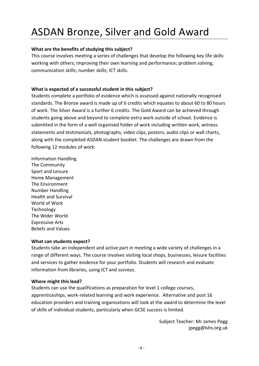# ASDAN Bronze, Silver and Gold Award

#### **What are the benefits of studying this subject?**

This course involves meeting a series of challenges that develop the following key life skills: working with others; improving their own learning and performance; problem solving; communication skills; number skills; ICT skills.

### **What is expected of a successful student in this subject?**

Students complete a portfolio of evidence which is assessed against nationally recognised standards. The Bronze award is made up of 6 credits which equates to about 60 to 80 hours of work. The Silver Award is a further 6 credits. The Gold Award can be achieved through students going above and beyond to complete extra work outside of school. Evidence is submitted in the form of a well organised folder of work including written work, witness statements and testimonials, photographs, video clips, posters, audio clips or wall charts, along with the completed ASDAN student booklet. The challenges are drawn from the following 12 modules of work:

Information Handling The Community Sport and Leisure Home Management The Environment Number Handling Health and Survival World of Work Technology The Wider World Expressive Arts Beliefs and Values

#### **What can students expect?**

Students take an independent and active part in meeting a wide variety of challenges in a range of different ways. The course involves visiting local shops, businesses, leisure facilities and services to gather evidence for your portfolio. Students will research and evaluate information from libraries, using ICT and surveys.

#### **Where might this lead?**

Students can use the qualifications as preparation for level 1 college courses, apprenticeships, work-related learning and work experience. Alternative and post 16 education providers and training organisations will look at the award to determine the level of skills of individual students, particularly when GCSE success is limited.

> Subject Teacher: Mr James Pegg jpegg@lshs.org.uk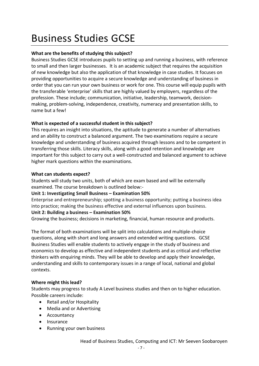# Business Studies GCSE

### **What are the benefits of studying this subject?**

Business Studies GCSE introduces pupils to setting up and running a business, with reference to small and then larger businesses. It is an academic subject that requires the acquisition of new knowledge but also the application of that knowledge in case studies. It focuses on providing opportunities to acquire a secure knowledge and understanding of business in order that you can run your own business or work for one. This course will equip pupils with the transferable 'enterprise' skills that are highly valued by employers, regardless of the profession. These include; communication, initiative, leadership, teamwork, decisionmaking, problem-solving, independence, creativity, numeracy and presentation skills, to name but a few!

### **What is expected of a successful student in this subject?**

This requires an insight into situations, the aptitude to generate a number of alternatives and an ability to construct a balanced argument. The two examinations require a secure knowledge and understanding of business acquired through lessons and to be competent in transferring those skills. Literacy skills, along with a good retention and knowledge are important for this subject to carry out a well-constructed and balanced argument to achieve higher mark questions within the examinations.

#### **What can students expect?**

Students will study two units, both of which are exam based and will be externally examined. The course breakdown is outlined below:-

**Unit 1: Investigating Small Business – Examination 50%**

Enterprise and entrepreneurship; spotting a business opportunity; putting a business idea into practice; making the business effective and external influences upon business. **Unit 2: Building a business – Examination 50%**

Growing the business; decisions in marketing, financial, human resource and products.

The format of both examinations will be split into calculations and multiple-choice questions, along with short and long answers and extended writing questions. GCSE Business Studies will enable students to actively engage in the study of business and economics to develop as effective and independent students and as critical and reflective thinkers with enquiring minds. They will be able to develop and apply their knowledge, understanding and skills to contemporary issues in a range of local, national and global contexts.

#### **Where might this lead?**

Students may progress to study A Level business studies and then on to higher education. Possible careers include:

- Retail and/or Hospitality
- Media and or Advertising
- Accountancy
- Insurance
- Running your own business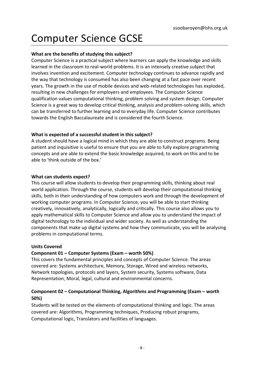# Computer Science GCSE

#### **What are the benefits of studying this subject?**

Computer Science is a practical subject where learners can apply the knowledge and skills learned in the classroom to real-world problems. It is an intensely creative subject that involves invention and excitement. Computer technology continues to advance rapidly and the way that technology is consumed has also been changing at a fast pace over recent years. The growth in the use of mobile devices and web-related technologies has exploded, resulting in new challenges for employers and employees. The Computer Science qualification values computational thinking, problem solving and system design. Computer Science is a great way to develop critical thinking, analysis and problem-solving skills, which can be transferred to further learning and to everyday life. Computer Science contributes towards the English Baccalaureate and is considered the fourth Science.

### **What is expected of a successful student in this subject?**

A student should have a logical mind in which they are able to construct programs. Being patient and inquisitive is useful to ensure that you are able to fully explore programming concepts and are able to extend the basic knowledge acquired, to work on this and to be able to 'think outside of the box.'

#### **What can students expect?**

This course will allow students to develop their programming skills, thinking about real world application. Through the course, students will develop their computational thinking skills, both in their understanding of how computers work and through the development of working computer programs. In Computer Science, you will be able to start thinking creatively, innovatively, analytically, logically and critically. This course also allows you to apply mathematical skills to Computer Science and allow you to understand the impact of digital technology to the individual and wider society. As well as understanding the components that make up digital systems and how they communicate, you will be analysing problems in computational terms.

#### **Units Covered**

# **Component 01 – Computer Systems (Exam – worth 50%)**

This covers the fundamental principles and concepts of Computer Science. The areas covered are: Systems architecture, Memory, Storage, Wired and wireless networks, Network topologies, protocols and layers, System security, Systems software, Data Representation, Moral, legal, cultural and environmental concerns.

# **Component 02 – Computational Thinking, Algorithms and Programming (Exam – worth 50%)**

Students will be tested on the elements of computational thinking and logic. The areas covered are: Algorithms, Programming techniques, Producing robust programs, Computational logic, Translators and facilities of languages.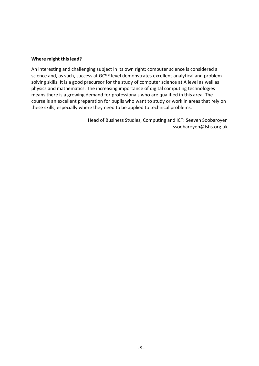#### **Where might this lead?**

An interesting and challenging subject in its own right; computer science is considered a science and, as such, success at GCSE level demonstrates excellent analytical and problemsolving skills. It is a good precursor for the study of computer science at A level as well as physics and mathematics. The increasing importance of digital computing technologies means there is a growing demand for professionals who are qualified in this area. The course is an excellent preparation for pupils who want to study or work in areas that rely on these skills, especially where they need to be applied to technical problems.

> Head of Business Studies, Computing and ICT: Seeven Soobaroyen ssoobaroyen@lshs.org.uk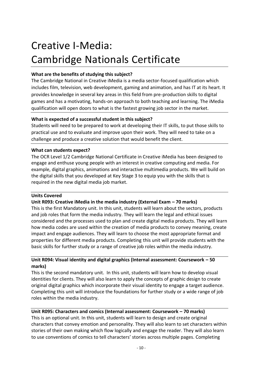# Creative I-Media: Cambridge Nationals Certificate

### **What are the benefits of studying this subject?**

The Cambridge National in Creative iMedia is a media sector-focused qualification which includes film, television, web development, gaming and animation, and has IT at its heart. It provides knowledge in several key areas in this field from pre-production skills to digital games and has a motivating, hands-on approach to both teaching and learning. The iMedia qualification will open doors to what is the fastest growing job sector in the market.

### **What is expected of a successful student in this subject?**

Students will need to be prepared to work at developing their IT skills, to put those skills to practical use and to evaluate and improve upon their work. They will need to take on a challenge and produce a creative solution that would benefit the client.

#### **What can students expect?**

The OCR Level 1/2 Cambridge National Certificate in Creative iMedia has been designed to engage and enthuse young people with an interest in creative computing and media. For example, digital graphics, animations and interactive multimedia products. We will build on the digital skills that you developed at Key Stage 3 to equip you with the skills that is required in the new digital media job market.

#### **Units Covered**

# **Unit R093: Creative iMedia in the media industry (External Exam – 70 marks)**

This is the first Mandatory unit. In this unit, students will learn about the sectors, products and job roles that form the media industry. They will learn the legal and ethical issues considered and the processes used to plan and create digital media products. They will learn how media codes are used within the creation of media products to convey meaning, create impact and engage audiences. They will learn to choose the most appropriate format and properties for different media products. Completing this unit will provide students with the basic skills for further study or a range of creative job roles within the media industry.

### **Unit R094: Visual identity and digital graphics (Internal assessment: Coursework – 50 marks)**

This is the second mandatory unit. In this unit, students will learn how to develop visual identities for clients. They will also learn to apply the concepts of graphic design to create original digital graphics which incorporate their visual identity to engage a target audience. Completing this unit will introduce the foundations for further study or a wide range of job roles within the media industry.

# **Unit R095: Characters and comics (Internal assessment: Coursework – 70 marks)**

This is an optional unit. In this unit, students will learn to design and create original characters that convey emotion and personality. They will also learn to set characters within stories of their own making which flow logically and engage the reader. They will also learn to use conventions of comics to tell characters' stories across multiple pages. Completing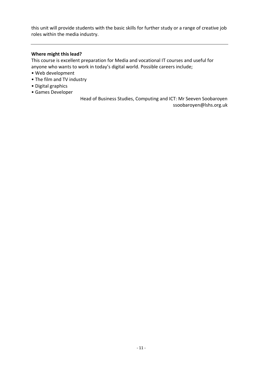this unit will provide students with the basic skills for further study or a range of creative job roles within the media industry.

#### **Where might this lead?**

This course is excellent preparation for Media and vocational IT courses and useful for anyone who wants to work in today's digital world. Possible careers include;

- Web development
- The film and TV industry
- Digital graphics
- Games Developer

Head of Business Studies, Computing and ICT: Mr Seeven Soobaroyen ssoobaroyen@lshs.org.uk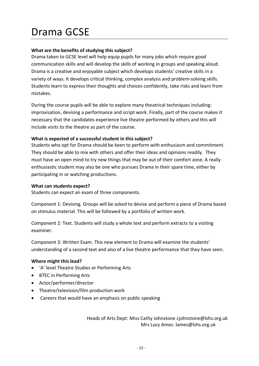# Drama GCSE

### **What are the benefits of studying this subject?**

Drama taken to GCSE level will help equip pupils for many jobs which require good communication skills and will develop the skills of working in groups and speaking aloud. Drama is a creative and enjoyable subject which develops students' creative skills in a variety of ways. It develops critical thinking, complex analysis and problem-solving skills. Students learn to express their thoughts and choices confidently, take risks and learn from mistakes.

During the course pupils will be able to explore many theatrical techniques including: improvisation, devising a performance and script work. Finally, part of the course makes it necessary that the candidates experience live theatre performed by others and this will include visits to the theatre as part of the course.

#### **What is expected of a successful student in this subject?**

Students who opt for Drama should be keen to perform with enthusiasm and commitment. They should be able to mix with others and offer their ideas and opinions readily. They must have an open mind to try new things that may be out of their comfort zone. A really enthusiastic student may also be one who pursues Drama in their spare time, either by participating in or watching productions.

#### **What can students expect?**

Students can expect an exam of three components.

Component 1: Devising. Groups will be asked to devise and perform a piece of Drama based on stimulus material. This will be followed by a portfolio of written work.

Component 2: Text. Students will study a whole text and perform extracts to a visiting examiner.

Component 3: Written Exam. This new element to Drama will examine the students' understanding of a second text and also of a live theatre performance that they have seen.

#### **Where might this lead?**

- 'A' level Theatre Studies or Performing Arts
- BTEC in Performing Arts
- Actor/performer/director
- Theatre/television/film production work
- Careers that would have an emphasis on public speaking

Heads of Arts Dept: Miss Cathy Johnstone cjohnstone@lshs.org.uk Mrs Lucy Ames: lames@lshs.org.uk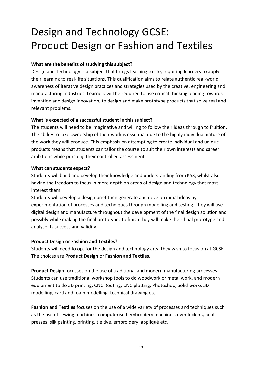# Design and Technology GCSE: Product Design or Fashion and Textiles

### **What are the benefits of studying this subject?**

Design and Technology is a subject that brings learning to life, requiring learners to apply their learning to real-life situations. This qualification aims to relate authentic real-world awareness of iterative design practices and strategies used by the creative, engineering and manufacturing industries. Learners will be required to use critical thinking leading towards invention and design innovation, to design and make prototype products that solve real and relevant problems.

### **What is expected of a successful student in this subject?**

The students will need to be imaginative and willing to follow their ideas through to fruition. The ability to take ownership of their work is essential due to the highly individual nature of the work they will produce. This emphasis on attempting to create individual and unique products means that students can tailor the course to suit their own interests and career ambitions while pursuing their controlled assessment.

#### **What can students expect?**

Students will build and develop their knowledge and understanding from KS3, whilst also having the freedom to focus in more depth on areas of design and technology that most interest them.

Students will develop a design brief then generate and develop initial ideas by experimentation of processes and techniques through modelling and testing. They will use digital design and manufacture throughout the development of the final design solution and possibly while making the final prototype. To finish they will make their final prototype and analyse its success and validity.

#### **Product Design or Fashion and Textiles?**

Students will need to opt for the design and technology area they wish to focus on at GCSE. The choices are **Product Design** or **Fashion and Textiles.**

**Product Design** focusses on the use of traditional and modern manufacturing processes. Students can use traditional workshop tools to do woodwork or metal work, and modern equipment to do 3D printing, CNC Routing, CNC plotting, Photoshop, Solid works 3D modelling, card and foam modelling, technical drawing etc.

**Fashion and Textiles** focuses on the use of a wide variety of processes and techniques such as the use of sewing machines, computerised embroidery machines, over lockers, heat presses, silk painting, printing, tie dye, embroidery, appliqué etc.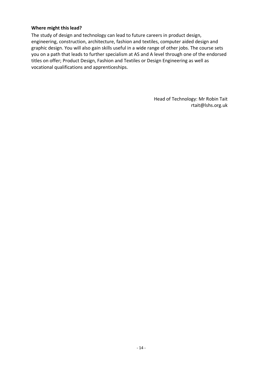#### **Where might this lead?**

The study of design and technology can lead to future careers in product design, engineering, construction, architecture, fashion and textiles, computer aided design and graphic design. You will also gain skills useful in a wide range of other jobs. The course sets you on a path that leads to further specialism at AS and A level through one of the endorsed titles on offer; Product Design, Fashion and Textiles or Design Engineering as well as vocational qualifications and apprenticeships.

> Head of Technology: Mr Robin Tait rtait@lshs.org.uk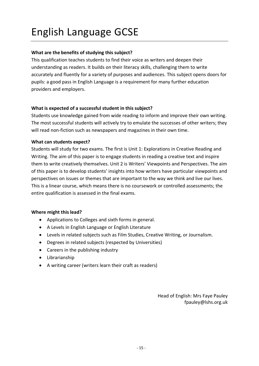# English Language GCSE

### **What are the benefits of studying this subject?**

This qualification teaches students to find their voice as writers and deepen their understanding as readers. It builds on their literacy skills, challenging them to write accurately and fluently for a variety of purposes and audiences. This subject opens doors for pupils: a good pass in English Language is a requirement for many further education providers and employers.

#### **What is expected of a successful student in this subject?**

Students use knowledge gained from wide reading to inform and improve their own writing. The most successful students will actively try to emulate the successes of other writers; they will read non-fiction such as newspapers and magazines in their own time.

#### **What can students expect?**

Students will study for two exams. The first is Unit 1: Explorations in Creative Reading and Writing. The aim of this paper is to engage students in reading a creative text and inspire them to write creatively themselves. Unit 2 is Writers' Viewpoints and Perspectives. The aim of this paper is to develop students' insights into how writers have particular viewpoints and perspectives on issues or themes that are important to the way we think and live our lives. This is a linear course, which means there is no coursework or controlled assessments; the entire qualification is assessed in the final exams.

#### **Where might this lead?**

- Applications to Colleges and sixth forms in general.
- A Levels in English Language or English Literature
- Levels in related subjects such as Film Studies, Creative Writing, or Journalism.
- Degrees in related subjects (respected by Universities)
- Careers in the publishing industry
- Librarianship
- A writing career (writers learn their craft as readers)

Head of English: Mrs Faye Pauley fpauley@lshs.org.uk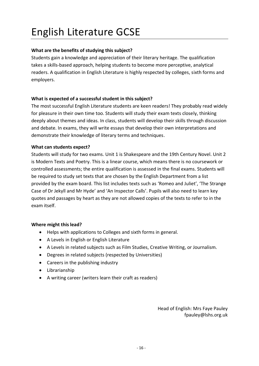# English Literature GCSE

# **What are the benefits of studying this subject?**

Students gain a knowledge and appreciation of their literary heritage. The qualification takes a skills-based approach, helping students to become more perceptive, analytical readers. A qualification in English Literature is highly respected by colleges, sixth forms and employers.

# **What is expected of a successful student in this subject?**

The most successful English Literature students are keen readers! They probably read widely for pleasure in their own time too. Students will study their exam texts closely, thinking deeply about themes and ideas. In class, students will develop their skills through discussion and debate. In exams, they will write essays that develop their own interpretations and demonstrate their knowledge of literary terms and techniques.

### **What can students expect?**

Students will study for two exams. Unit 1 is Shakespeare and the 19th Century Novel. Unit 2 is Modern Texts and Poetry. This is a linear course, which means there is no coursework or controlled assessments; the entire qualification is assessed in the final exams. Students will be required to study set texts that are chosen by the English Department from a list provided by the exam board. This list includes texts such as 'Romeo and Juliet', 'The Strange Case of Dr Jekyll and Mr Hyde' and 'An Inspector Calls'. Pupils will also need to learn key quotes and passages by heart as they are not allowed copies of the texts to refer to in the exam itself.

# **Where might this lead?**

- Helps with applications to Colleges and sixth forms in general.
- A Levels in English or English Literature
- A Levels in related subjects such as Film Studies, Creative Writing, or Journalism.
- Degrees in related subjects (respected by Universities)
- Careers in the publishing industry
- Librarianship
- A writing career (writers learn their craft as readers)

Head of English: Mrs Faye Pauley fpauley@lshs.org.uk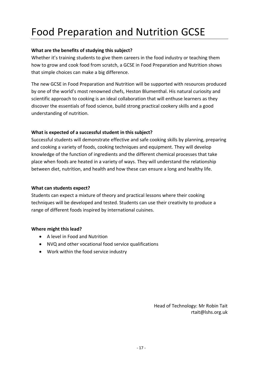# Food Preparation and Nutrition GCSE

### **What are the benefits of studying this subject?**

Whether it's training students to give them careers in the food industry or teaching them how to grow and cook food from scratch, a GCSE in Food Preparation and Nutrition shows that simple choices can make a big difference.

The new GCSE in Food Preparation and Nutrition will be supported with resources produced by one of the world's most renowned chefs, Heston Blumenthal. His natural curiosity and scientific approach to cooking is an ideal collaboration that will enthuse learners as they discover the essentials of food science, build strong practical cookery skills and a good understanding of nutrition.

### **What is expected of a successful student in this subject?**

Successful students will demonstrate effective and safe cooking skills by planning, preparing and cooking a variety of foods, cooking techniques and equipment. They will develop knowledge of the function of ingredients and the different chemical processes that take place when foods are heated in a variety of ways. They will understand the relationship between diet, nutrition, and health and how these can ensure a long and healthy life.

#### **What can students expect?**

Students can expect a mixture of theory and practical lessons where their cooking techniques will be developed and tested. Students can use their creativity to produce a range of different foods inspired by international cuisines.

#### **Where might this lead?**

- A level in Food and Nutrition
- NVQ and other vocational food service qualifications
- Work within the food service industry

Head of Technology: Mr Robin Tait rtait@lshs.org.uk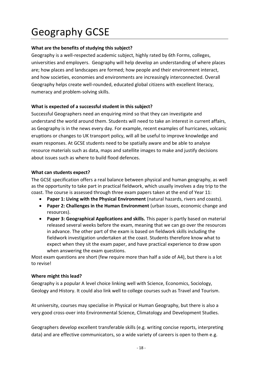# Geography GCSE

# **What are the benefits of studying this subject?**

Geography is a well-respected academic subject, highly rated by 6th Forms, colleges, universities and employers. Geography will help develop an understanding of where places are; how places and landscapes are formed; how people and their environment interact, and how societies, economies and environments are increasingly interconnected. Overall Geography helps create well-rounded, educated global citizens with excellent literacy, numeracy and problem-solving skills.

### **What is expected of a successful student in this subject?**

Successful Geographers need an enquiring mind so that they can investigate and understand the world around them. Students will need to take an interest in current affairs, as Geography is in the news every day. For example, recent examples of hurricanes, volcanic eruptions or changes to UK transport policy, will all be useful to improve knowledge and exam responses. At GCSE students need to be spatially aware and be able to analyse resource materials such as data, maps and satellite images to make and justify decisions about issues such as where to build flood defences.

#### **What can students expect?**

The GCSE specification offers a real balance between physical and human geography, as well as the opportunity to take part in practical fieldwork, which usually involves a day trip to the coast. The course is assessed through three exam papers taken at the end of Year 11:

- **Paper 1: Living with the Physical Environment** (natural hazards, rivers and coasts).
- **Paper 2: Challenges in the Human Environment** (urban issues, economic change and resources).
- **Paper 3: Geographical Applications and skills.** This paper is partly based on material released several weeks before the exam, meaning that we can go over the resources in advance. The other part of the exam is based on fieldwork skills including the fieldwork investigation undertaken at the coast. Students therefore know what to expect when they sit the exam paper, and have practical experience to draw upon when answering the exam questions.

Most exam questions are short (few require more than half a side of A4), but there is a lot to revise!

#### **Where might this lead?**

Geography is a popular A level choice linking well with Science, Economics, Sociology, Geology and History. It could also link well to college courses such as Travel and Tourism.

At university, courses may specialise in Physical or Human Geography, but there is also a very good cross-over into Environmental Science, Climatology and Development Studies.

Geographers develop excellent transferable skills (e.g. writing concise reports, interpreting data) and are effective communicators, so a wide variety of careers is open to them e.g.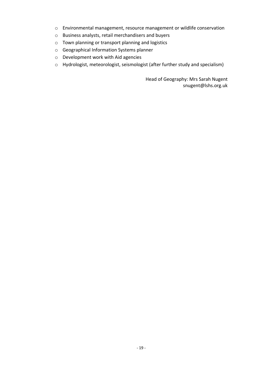- o Environmental management, resource management or wildlife conservation
- o Business analysts, retail merchandisers and buyers
- o Town planning or transport planning and logistics
- o Geographical Information Systems planner
- o Development work with Aid agencies
- o Hydrologist, meteorologist, seismologist (after further study and specialism)

Head of Geography: Mrs Sarah Nugent snugent@lshs.org.uk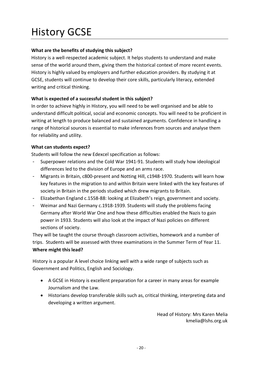# History GCSE

# **What are the benefits of studying this subject?**

History is a well-respected academic subject. It helps students to understand and make sense of the world around them, giving them the historical context of more recent events. History is highly valued by employers and further education providers. By studying it at GCSE, students will continue to develop their core skills, particularly literacy, extended writing and critical thinking.

# **What is expected of a successful student in this subject?**

In order to achieve highly in History, you will need to be well organised and be able to understand difficult political, social and economic concepts. You will need to be proficient in writing at length to produce balanced and sustained arguments. Confidence in handling a range of historical sources is essential to make inferences from sources and analyse them for reliability and utility.

# **What can students expect?**

Students will follow the new Edexcel specification as follows:

- Superpower relations and the Cold War 1941-91. Students will study how ideological differences led to the division of Europe and an arms race.
- Migrants in Britain, c800-present and Notting Hill, c1948-1970. Students will learn how key features in the migration to and within Britain were linked with the key features of society in Britain in the periods studied which drew migrants to Britain.
- Elizabethan England c.1558-88: looking at Elizabeth's reign, government and society.
- Weimar and Nazi Germany c.1918-1939. Students will study the problems facing Germany after World War One and how these difficulties enabled the Nazis to gain power in 1933. Students will also look at the impact of Nazi policies on different sections of society.

They will be taught the course through classroom activities, homework and a number of trips. Students will be assessed with three examinations in the Summer Term of Year 11. **Where might this lead?**

History is a popular A level choice linking well with a wide range of subjects such as Government and Politics, English and Sociology.

- A GCSE in History is excellent preparation for a career in many areas for example Journalism and the Law.
- Historians develop transferable skills such as, critical thinking, interpreting data and developing a written argument.

Head of History: Mrs Karen Melia kmelia@lshs.org.uk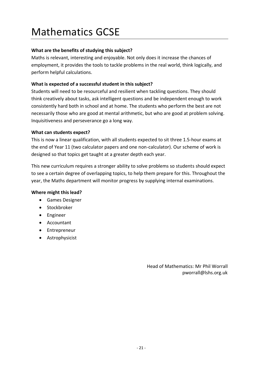# Mathematics GCSE

### **What are the benefits of studying this subject?**

Maths is relevant, interesting and enjoyable. Not only does it increase the chances of employment, it provides the tools to tackle problems in the real world, think logically, and perform helpful calculations.

### **What is expected of a successful student in this subject?**

Students will need to be resourceful and resilient when tackling questions. They should think creatively about tasks, ask intelligent questions and be independent enough to work consistently hard both in school and at home. The students who perform the best are not necessarily those who are good at mental arithmetic, but who are good at problem solving. Inquisitiveness and perseverance go a long way.

#### **What can students expect?**

This is now a linear qualification, with all students expected to sit three 1.5-hour exams at the end of Year 11 (two calculator papers and one non-calculator). Our scheme of work is designed so that topics get taught at a greater depth each year.

This new curriculum requires a stronger ability to solve problems so students should expect to see a certain degree of overlapping topics, to help them prepare for this. Throughout the year, the Maths department will monitor progress by supplying internal examinations.

#### **Where might this lead?**

- Games Designer
- Stockbroker
- Engineer
- Accountant
- Entrepreneur
- Astrophysicist

Head of Mathematics: Mr Phil Worrall pworrall@lshs.org.uk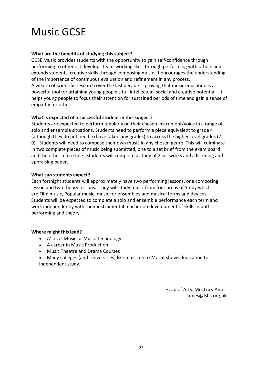# Music GCSE

### **What are the benefits of studying this subject?**

GCSE Music provides students with the opportunity to gain self-confidence through performing to others. It develops team-working skills through performing with others and extends students' creative skills through composing music. It encourages the understanding of the importance of continuous evaluation and refinement in any process. A wealth of scientific research over the last decade is proving that music education is a

powerful tool for attaining young people's full intellectual, social and creative potential. It helps young people to focus their attention for sustained periods of time and gain a sense of empathy for others.

### **What is expected of a successful student in this subject?**

Students are expected to perform regularly on their chosen instrument/voice in a range of solo and ensemble situations. Students need to perform a piece equivalent to grade 4 (although they do not need to have taken any grades) to access the higher-level grades (7- 9). Students will need to compose their own music in any chosen genre. This will culminate in two complete pieces of music being submitted, one to a set brief from the exam board and the other a free task. Students will complete a study of 2 set works and a listening and appraising paper.

#### **What can students expect?**

Each fortnight students will approximately have two performing lessons, one composing lesson and two theory lessons. They will study music from four areas of Study which are Film music, Popular music, music for ensembles and musical forms and devices. Students will be expected to complete a solo and ensemble performance each term and work independently with their instrumental teacher on development of skills in both performing and theory.

#### **Where might this lead?**

- A' level Music or Music Technology
- A career in Music Production
- Music Theatre and Drama Courses
- Many colleges (and Universities) like music on a CV as it shows dedication to independent study.

Head of Arts: Mrs Lucy Ames lames@lshs.org.uk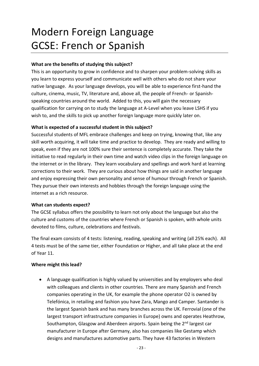# Modern Foreign Language GCSE: French or Spanish

#### **What are the benefits of studying this subject?**

This is an opportunity to grow in confidence and to sharpen your problem-solving skills as you learn to express yourself and communicate well with others who do not share your native language. As your language develops, you will be able to experience first-hand the culture, cinema, music, TV, literature and, above all, the people of French- or Spanishspeaking countries around the world. Added to this, you will gain the necessary qualification for carrying on to study the language at A-Level when you leave LSHS if you wish to, and the skills to pick up another foreign language more quickly later on.

### **What is expected of a successful student in this subject?**

Successful students of MFL embrace challenges and keep on trying, knowing that, like any skill worth acquiring, it will take time and practice to develop. They are ready and willing to speak, even if they are not 100% sure their sentence is completely accurate. They take the initiative to read regularly in their own time and watch video clips in the foreign language on the internet or in the library. They learn vocabulary and spellings and work hard at learning corrections to their work. They are curious about how things are said in another language and enjoy expressing their own personality and sense of humour through French or Spanish. They pursue their own interests and hobbies through the foreign language using the internet as a rich resource.

#### **What can students expect?**

The GCSE syllabus offers the possibility to learn not only about the language but also the culture and customs of the countries where French or Spanish is spoken, with whole units devoted to films, culture, celebrations and festivals.

The final exam consists of 4 tests: listening, reading, speaking and writing (all 25% each). All 4 tests must be of the same tier, either Foundation or Higher, and all take place at the end of Year 11.

#### **Where might this lead?**

• A language qualification is highly valued by universities and by employers who deal with colleagues and clients in other countries. There are many Spanish and French companies operating in the UK, for example the phone operator O2 is owned by Telefónica, in retailing and fashion you have Zara, Mango and Camper. Santander is the largest Spanish bank and has many branches across the UK. Ferrovial (one of the largest transport infrastructure companies in Europe) owns and operates Heathrow, Southampton, Glasgow and Aberdeen airports. Spain being the  $2<sup>nd</sup>$  largest car manufacturer in Europe after Germany, also has companies like Gestamp which designs and manufactures automotive parts. They have 43 factories in Western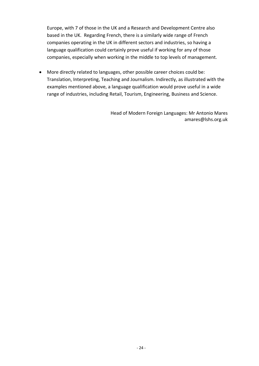Europe, with 7 of those in the UK and a Research and Development Centre also based in the UK. Regarding French, there is a similarly wide range of French companies operating in the UK in different sectors and industries, so having a language qualification could certainly prove useful if working for any of those companies, especially when working in the middle to top levels of management.

• More directly related to languages, other possible career choices could be: Translation, Interpreting, Teaching and Journalism. Indirectly, as illustrated with the examples mentioned above, a language qualification would prove useful in a wide range of industries, including Retail, Tourism, Engineering, Business and Science.

> Head of Modern Foreign Languages: Mr Antonio Mares amares@lshs.org.uk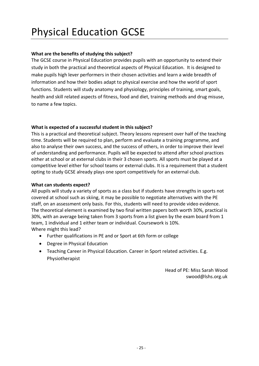# Physical Education GCSE

### **What are the benefits of studying this subject?**

The GCSE course in Physical Education provides pupils with an opportunity to extend their study in both the practical and theoretical aspects of Physical Education. It is designed to make pupils high lever performers in their chosen activities and learn a wide breadth of information and how their bodies adapt to physical exercise and how the world of sport functions. Students will study anatomy and physiology, principles of training, smart goals, health and skill related aspects of fitness, food and diet, training methods and drug misuse, to name a few topics.

#### **What is expected of a successful student in this subject?**

This is a practical and theoretical subject. Theory lessons represent over half of the teaching time. Students will be required to plan, perform and evaluate a training programme, and also to analyse their own success, and the success of others, in order to improve their level of understanding and performance. Pupils will be expected to attend after school practices either at school or at external clubs in their 3 chosen sports. All sports must be played at a competitive level either for school teams or external clubs. It is a requirement that a student opting to study GCSE already plays one sport competitively for an external club.

#### **What can students expect?**

All pupils will study a variety of sports as a class but if students have strengths in sports not covered at school such as skiing, it may be possible to negotiate alternatives with the PE staff, on an assessment only basis. For this, students will need to provide video evidence. The theoretical element is examined by two final written papers both worth 30%, practical is 30%, with an average being taken from 3 sports from a list given by the exam board from 1 team, 1 individual and 1 either team or individual. Coursework is 10%. Where might this lead?

- Further qualifications in PE and or Sport at 6th form or college
- Degree in Physical Education
- Teaching Career in Physical Education. Career in Sport related activities. E.g. Physiotherapist

Head of PE: Miss Sarah Wood swood@lshs.org.uk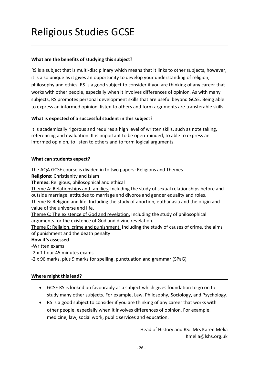# Religious Studies GCSE

#### **What are the benefits of studying this subject?**

RS is a subject that is multi-disciplinary which means that it links to other subjects, however, it is also unique as it gives an opportunity to develop your understanding of religion, philosophy and ethics. RS is a good subject to consider if you are thinking of any career that works with other people, especially when it involves differences of opinion. As with many subjects, RS promotes personal development skills that are useful beyond GCSE. Being able to express an informed opinion, listen to others and form arguments are transferable skills.

### **What is expected of a successful student in this subject?**

It is academically rigorous and requires a high level of written skills, such as note taking, referencing and evaluation. It is important to be open-minded, to able to express an informed opinion, to listen to others and to form logical arguments.

#### **What can students expect?**

The AQA GCSE course is divided in to two papers: Religions and Themes

**Religions:** Christianity and Islam

**Themes:** Religious, philosophical and ethical

Theme A: Relationships and families. Including the study of sexual relationships before and outside marriage, attitudes to marriage and divorce and gender equality and roles.

Theme B: Religion and life. Including the study of abortion, euthanasia and the origin and value of the universe and life.

Theme C: The existence of God and revelation. Including the study of philosophical arguments for the existence of God and divine revelation.

Theme E: Religion, crime and punishment. Including the study of causes of crime, the aims of punishment and the death penalty

#### **How it's assessed**

-Written exams

-2 x 1 hour 45 minutes exams

-2 x 96 marks, plus 9 marks for spelling, punctuation and grammar (SPaG)

#### **Where might this lead?**

- GCSE RS is looked on favourably as a subject which gives foundation to go on to study many other subjects. For example, Law, Philosophy, Sociology, and Psychology.
- RS is a good subject to consider if you are thinking of any career that works with other people, especially when it involves differences of opinion. For example, medicine, law, social work, public services and education.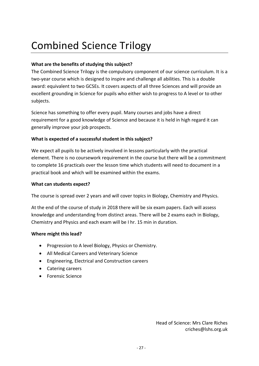# Combined Science Trilogy

### **What are the benefits of studying this subject?**

The Combined Science Trilogy is the compulsory component of our science curriculum. It is a two-year course which is designed to inspire and challenge all abilities. This is a double award: equivalent to two GCSEs. It covers aspects of all three Sciences and will provide an excellent grounding in Science for pupils who either wish to progress to A level or to other subjects.

Science has something to offer every pupil. Many courses and jobs have a direct requirement for a good knowledge of Science and because it is held in high regard it can generally improve your job prospects.

#### **What is expected of a successful student in this subject?**

We expect all pupils to be actively involved in lessons particularly with the practical element. There is no coursework requirement in the course but there will be a commitment to complete 16 practicals over the lesson time which students will need to document in a practical book and which will be examined within the exams.

#### **What can students expect?**

The course is spread over 2 years and will cover topics in Biology, Chemistry and Physics.

At the end of the course of study in 2018 there will be six exam papers. Each will assess knowledge and understanding from distinct areas. There will be 2 exams each in Biology, Chemistry and Physics and each exam will be I hr. 15 min in duration.

#### **Where might this lead?**

- Progression to A level Biology, Physics or Chemistry.
- All Medical Careers and Veterinary Science
- Engineering, Electrical and Construction careers
- Catering careers
- Forensic Science

Head of Science: Mrs Clare Riches criches@lshs.org.uk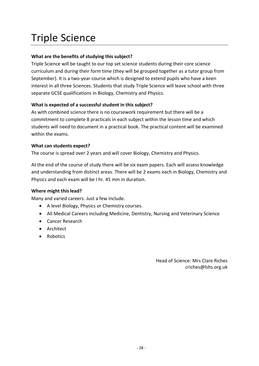# Triple Science

# **What are the benefits of studying this subject?**

Triple Science will be taught to our top set science students during their core science curriculum and during their form time (they will be grouped together as a tutor group from September). It is a two-year course which is designed to extend pupils who have a keen interest in all three Sciences. Students that study Triple Science will leave school with three separate GCSE qualifications in Biology, Chemistry and Physics.

### **What is expected of a successful student in this subject?**

As with combined science there is no coursework requirement but there will be a commitment to complete 8 practicals in each subject within the lesson time and which students will need to document in a practical book. The practical content will be examined within the exams.

#### **What can students expect?**

The course is spread over 2 years and will cover Biology, Chemistry and Physics.

At the end of the course of study there will be six exam papers. Each will assess knowledge and understanding from distinct areas. There will be 2 exams each in Biology, Chemistry and Physics and each exam will be I hr. 45 min in duration.

#### **Where might this lead?**

Many and varied careers. Just a few include.

- A level Biology, Physics or Chemistry courses.
- All Medical Careers including Medicine, Dentistry, Nursing and Veterinary Science
- Cancer Research
- Architect
- Robotics

Head of Science: Mrs Clare Riches criches@lshs.org.uk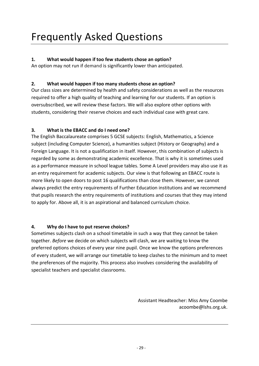# **1. What would happen if too few students chose an option?**

An option may not run if demand is significantly lower than anticipated.

# **2. What would happen if too many students chose an option?**

Our class sizes are determined by health and safety considerations as well as the resources required to offer a high quality of teaching and learning for our students. If an option is oversubscribed, we will review these factors. We will also explore other options with students, considering their reserve choices and each individual case with great care.

# **3. What is the EBACC and do I need one?**

The English Baccalaureate comprises 5 GCSE subjects: English, Mathematics, a Science subject (including Computer Science), a humanities subject (History or Geography) and a Foreign Language. It is not a qualification in itself. However, this combination of subjects is regarded by some as demonstrating academic excellence. That is why it is sometimes used as a performance measure in school league tables. Some A Level providers may also use it as an entry requirement for academic subjects. Our view is that following an EBACC route is more likely to open doors to post 16 qualifications than close them. However, we cannot always predict the entry requirements of Further Education institutions and we recommend that pupils research the entry requirements of institutions and courses that they may intend to apply for. Above all, it is an aspirational and balanced curriculum choice.

# **4. Why do I have to put reserve choices?**

Sometimes subjects clash on a school timetable in such a way that they cannot be taken together. *Before* we decide on which subjects will clash, we are waiting to know the preferred options choices of every year nine pupil. Once we know the options preferences of every student, we will arrange our timetable to keep clashes to the minimum and to meet the preferences of the majority. This process also involves considering the availability of specialist teachers and specialist classrooms.

> Assistant Headteacher: Miss Amy Coombe acoomb[e@lshs.org.uk.](mailto:tstevens@lshs.org.uk)